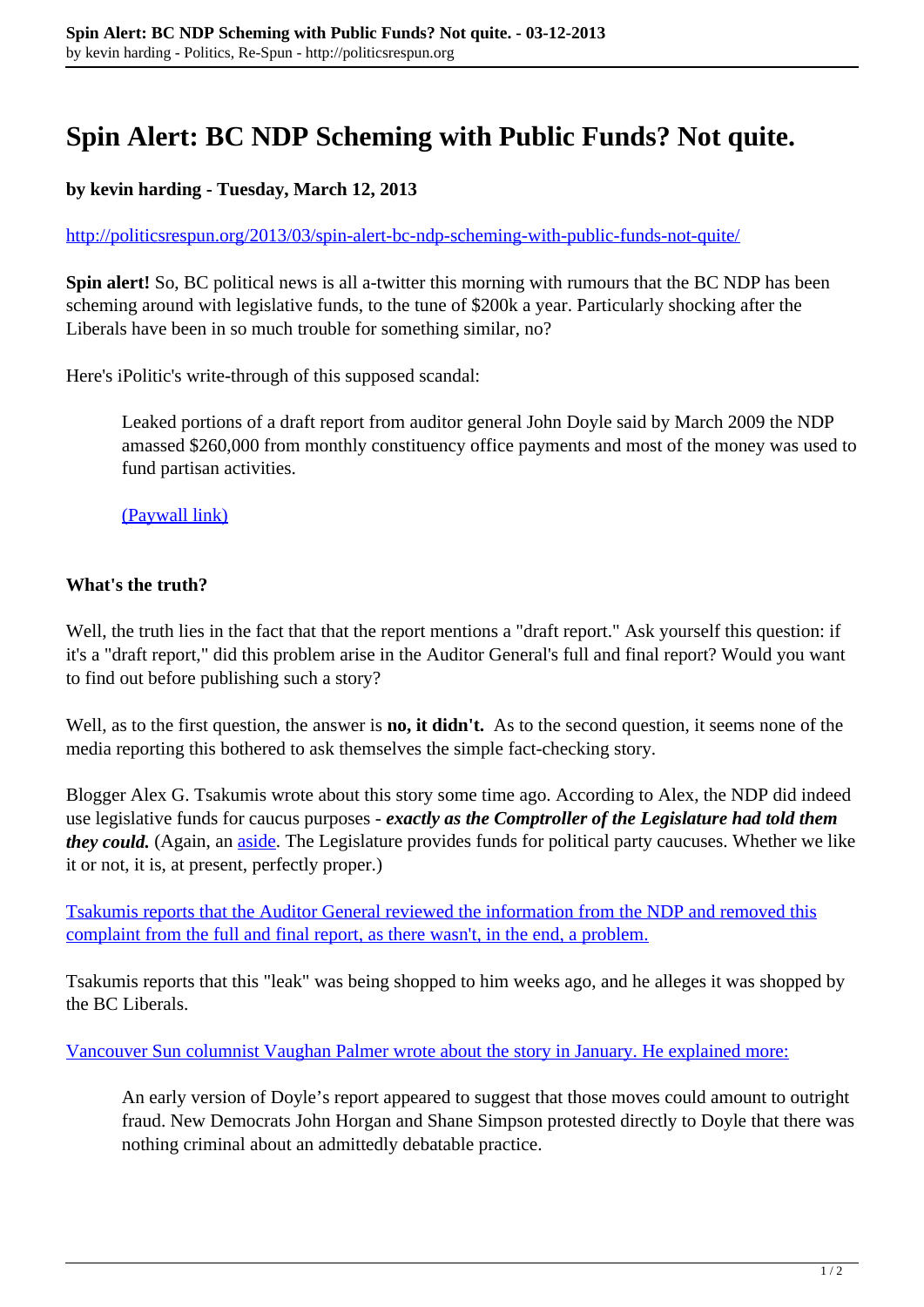## **Spin Alert: BC NDP Scheming with Public Funds? Not quite.**

## **by kevin harding - Tuesday, March 12, 2013**

## <http://politicsrespun.org/2013/03/spin-alert-bc-ndp-scheming-with-public-funds-not-quite/>

**Spin alert!** So, BC political news is all a-twitter this morning with rumours that the BC NDP has been scheming around with legislative funds, to the tune of \$200k a year. Particularly shocking after the Liberals have been in so much trouble for something similar, no?

Here's iPolitic's write-through of this supposed scandal:

Leaked portions of a draft report from auditor general John Doyle said by March 2009 the NDP amassed \$260,000 from monthly constituency office payments and most of the money was used to fund partisan activities.

[\(Paywall link\)](http://www.ipolitics.ca/2013/03/12/b-c-auditor-raps-ndps-partisan-fund/)

## **What's the truth?**

Well, the truth lies in the fact that that the report mentions a "draft report." Ask yourself this question: if it's a "draft report," did this problem arise in the Auditor General's full and final report? Would you want to find out before publishing such a story?

Well, as to the first question, the answer is **no, it didn't.** As to the second question, it seems none of the media reporting this bothered to ask themselves the simple fact-checking story.

Blogger Alex G. Tsakumis wrote about this story some time ago. According to Alex, the NDP did indeed use legislative funds for caucus purposes - *exactly as the Comptroller of the Legislature had told them they could.* (Again, an *aside*. The Legislature provides funds for political party caucuses. Whether we like it or not, it is, at present, perfectly proper.)

[Tsakumis reports that the Auditor General reviewed the information from the NDP and removed this](http://alexgtsakumis.com/2013/02/26/exclusive-breaking-news-the-bc-ndp-running-an-in-and-out-scheme-funnelling-monies-from-constituencies-to-pr-hacks-not-a-chance-just-the-bc-liberals-telling-lies-again/) [complaint from the full and final report, as there wasn't, in the end, a problem.](http://alexgtsakumis.com/2013/02/26/exclusive-breaking-news-the-bc-ndp-running-an-in-and-out-scheme-funnelling-monies-from-constituencies-to-pr-hacks-not-a-chance-just-the-bc-liberals-telling-lies-again/)

Tsakumis reports that this "leak" was being shopped to him weeks ago, and he alleges it was shopped by the BC Liberals.

[Vancouver Sun columnist Vaughan Palmer wrote about the story in January. He explained more:](http://www.vancouversun.com/opinion/columnists/Vaughn+Palmer+Liberals+think+they+their+troublesome/7819220/story.html)

An early version of Doyle's report appeared to suggest that those moves could amount to outright fraud. New Democrats John Horgan and Shane Simpson protested directly to Doyle that there was nothing criminal about an admittedly debatable practice.